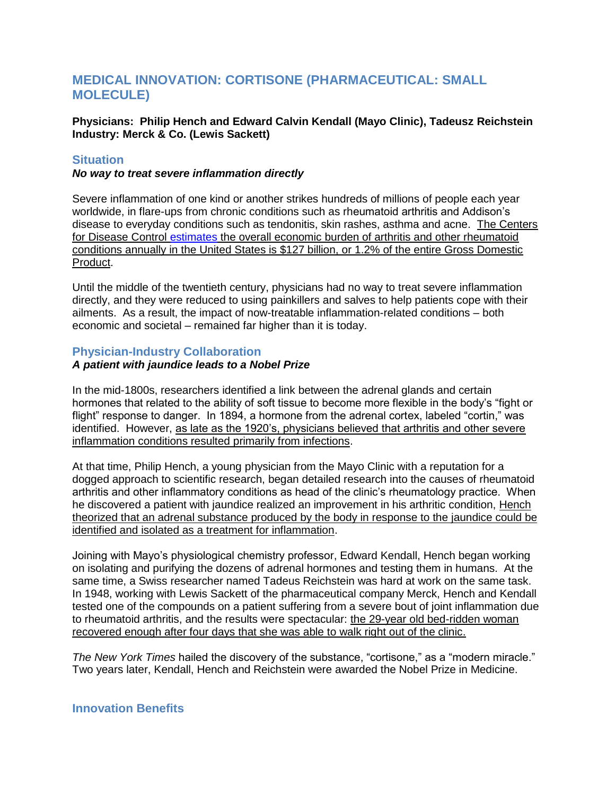# **MEDICAL INNOVATION: CORTISONE (PHARMACEUTICAL: SMALL MOLECULE)**

## **Physicians: Philip Hench and Edward Calvin Kendall (Mayo Clinic), Tadeusz Reichstein Industry: Merck & Co. (Lewis Sackett)**

# **Situation**

#### *No way to treat severe inflammation directly*

Severe inflammation of one kind or another strikes hundreds of millions of people each year worldwide, in flare-ups from chronic conditions such as rheumatoid arthritis and Addison's disease to everyday conditions such as tendonitis, skin rashes, asthma and acne. The Centers for Disease Control [estimates](http://www.cdc.gov/arthritis/data_statistics/faqs/cost_analysis.htm) the overall economic burden of arthritis and other rheumatoid conditions annually in the United States is \$127 billion, or 1.2% of the entire Gross Domestic Product.

Until the middle of the twentieth century, physicians had no way to treat severe inflammation directly, and they were reduced to using painkillers and salves to help patients cope with their ailments. As a result, the impact of now-treatable inflammation-related conditions – both economic and societal – remained far higher than it is today.

## **Physician-Industry Collaboration**

## *A patient with jaundice leads to a Nobel Prize*

In the mid-1800s, researchers identified a link between the adrenal glands and certain hormones that related to the ability of soft tissue to become more flexible in the body's "fight or flight" response to danger. In 1894, a hormone from the adrenal cortex, labeled "cortin," was identified. However, as late as the 1920's, physicians believed that arthritis and other severe inflammation conditions resulted primarily from infections.

At that time, Philip Hench, a young physician from the Mayo Clinic with a reputation for a dogged approach to scientific research, began detailed research into the causes of rheumatoid arthritis and other inflammatory conditions as head of the clinic's rheumatology practice. When he discovered a patient with jaundice realized an improvement in his arthritic condition, Hench theorized that an adrenal substance produced by the body in response to the jaundice could be identified and isolated as a treatment for inflammation.

Joining with Mayo's physiological chemistry professor, Edward Kendall, Hench began working on isolating and purifying the dozens of adrenal hormones and testing them in humans. At the same time, a Swiss researcher named Tadeus Reichstein was hard at work on the same task. In 1948, working with Lewis Sackett of the pharmaceutical company Merck, Hench and Kendall tested one of the compounds on a patient suffering from a severe bout of joint inflammation due to rheumatoid arthritis, and the results were spectacular: the 29-year old bed-ridden woman recovered enough after four days that she was able to walk right out of the clinic.

*The New York Times* hailed the discovery of the substance, "cortisone," as a "modern miracle." Two years later, Kendall, Hench and Reichstein were awarded the Nobel Prize in Medicine.

# **Innovation Benefits**